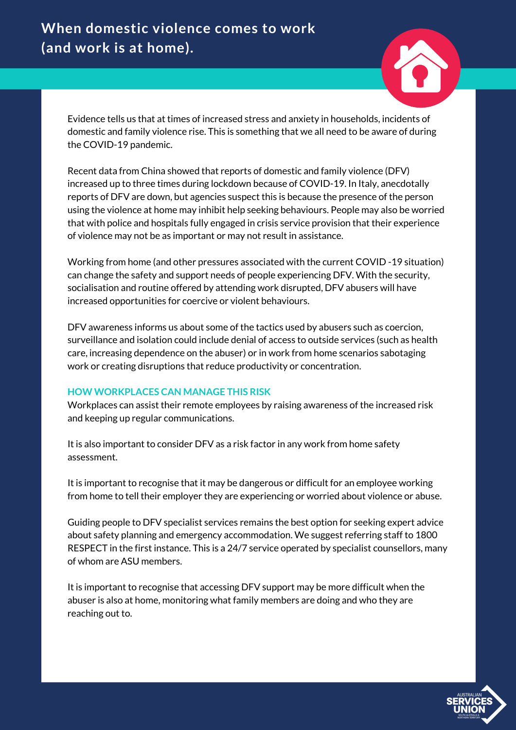# **When domestic violence comes to work (and work is at home).**

Evidence tells us that at times of increased stress and anxiety in households, incidents of domestic and family violence rise. This is something that we all need to be aware of during the COVID-19 pandemic.

Recent data from China showed that reports of domestic and family violence (DFV) increased up to three times during lockdown because of COVID-19. In Italy, anecdotally reports of DFV are down, but agencies suspect this is because the presence of the person using the violence at home may inhibit help seeking behaviours. People may also be worried that with police and hospitals fully engaged in crisis service provision that their experience of violence may not be as important or may not result in assistance.

Working from home (and other pressures associated with the current COVID -19 situation) can change the safety and support needs of people experiencing DFV. With the security, socialisation and routine offered by attending work disrupted, DFV abusers will have increased opportunities for coercive or violent behaviours.

DFV awareness informs us about some of the tactics used by abusers such as coercion, surveillance and isolation could include denial of access to outside services (such as health care, increasing dependence on the abuser) or in work from home scenarios sabotaging work or creating disruptions that reduce productivity or concentration.

## **HOW WORKPLACES CAN MANAGE THIS RISK**

Workplaces can assist their remote employees by raising awareness of the increased risk and keeping up regular communications.

It is also important to consider DFV as a risk factor in any work from home safety assessment.

It is important to recognise that it may be dangerous or difficult for an employee working from home to tell their employer they are experiencing or worried about violence or abuse.

Guiding people to DFV specialist services remains the best option for seeking expert advice about safety planning and emergency accommodation. We suggest referring staff to 1800 RESPECT in the first instance. This is a 24/7 service operated by specialist counsellors, many of whom are ASU members.

It is important to recognise that accessing DFV support may be more difficult when the abuser is also at home, monitoring what family members are doing and who they are reaching out to.